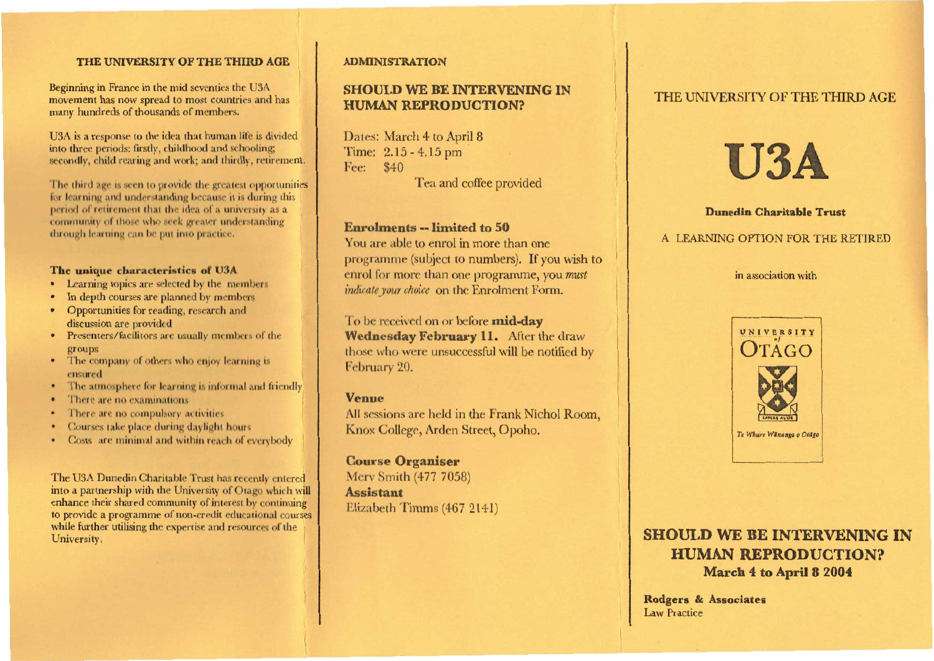### THE UNIVERSITY OF THE THIRD AGE **ADMINISTRATION**

Beginning in France in the mid seventies the U3A movement has now spread to most countries and has many hundreds of thousands of members.

U3A is a response to the idea that human life is divided into three periods: firstly, childhood and schooling; secondly, child rearing and work; and thirdly, retirement.

The third age is seen to provide the greatest opportunities for learning and understanding because it is during this period of retirement that the idea of a university as a community of those who seek greater understanding through learning can be put into practice.

#### **The unique characteristics of U3A**

- Learning topics are selected by the members
- In depth courses are planned by members
- Opportunities for reading, research and discussion are provided
- Presenters/facilitors are usually members of the groups
- The company of others who enjoy learning is ensured
- The atmosphere for learning is informal and friendly
- There are no examinations
- There are no compulsory activities
- Courses take place during daylight hours
- Costs are minimal and within reach of everybody

The U3A Dunedin Charitable Trust has recently entered into a partnership with the University of Otago which will enhance their shared community of interest by continuing to provide a programme of non-credit educational courses while further utilising the expertise and resources of the University.

# **SHOULD WE BE INTERVENING IN HUMAN REPRODUCTION?**

Dates: March 4 to April 8 Time: 2.15 - 4.15 pm Fee: \$40 Tea and coffee provided

#### **Enrolments -- limited to 50**

You are able to enrol in more than one programme (subject to numbers). If you wish to enrol for more than one programme, you *must indicate your choice* on the Enrolment Form.

To be received on or before **mid-day Wednesday February 11.** After the draw those who were unsuccessful will be notified by February 20.

#### **Venue**

All sessions are held in the Frank Nichol Room, Knox College, Arden Street, Opoho.

**Course Organiser**  Mery Smith (477 7058) **Assistant**  Elizabeth Timms (467 2141)

# THE UNIVERSITY OF THE THIRD AGE



#### **Dunedin Charitable Trust**

#### A LEARNING OPTION FOR THE RETIRED

in association with



# **SHOULD WE BE INTERVENING IN HUMAN REPRODUCTION? March 4 to April 8 2004**

**Rodgers & Associates**  Law Practice